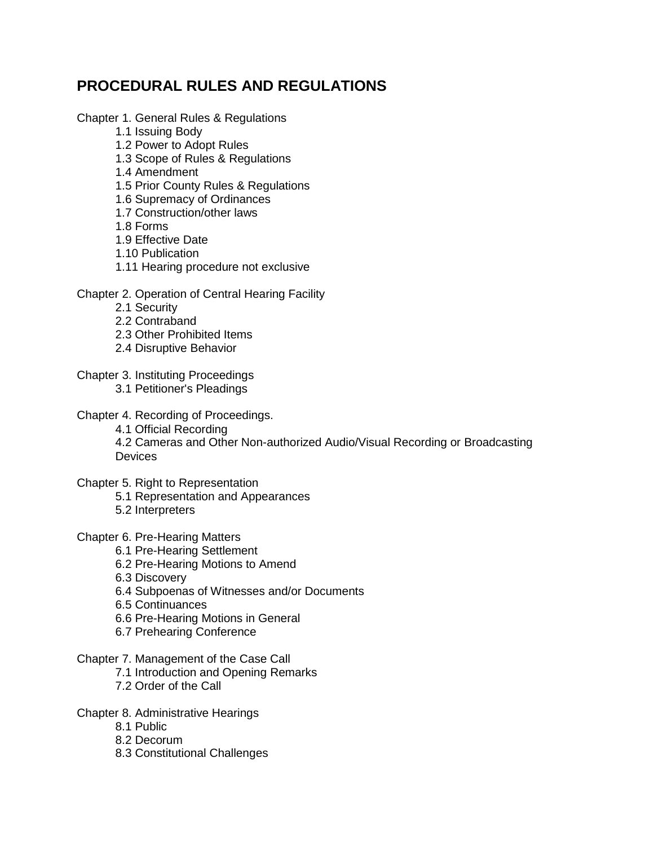# **PROCEDURAL RULES AND REGULATIONS**

### Chapter 1. General Rules & Regulations

- 1.1 Issuing Body
- 1.2 Power to Adopt Rules
- 1.3 Scope of Rules & Regulations
- 1.4 Amendment
- 1.5 Prior County Rules & Regulations
- 1.6 Supremacy of Ordinances
- 1.7 Construction/other laws
- 1.8 Forms
- 1.9 Effective Date
- 1.10 Publication
- 1.11 Hearing procedure not exclusive

### Chapter 2. Operation of Central Hearing Facility

- 2.1 Security
- 2.2 Contraband
- 2.3 Other Prohibited Items
- 2.4 Disruptive Behavior
- Chapter 3. Instituting Proceedings
	- 3.1 Petitioner's Pleadings
- Chapter 4. Recording of Proceedings.
	- 4.1 Official Recording

4.2 Cameras and Other Non-authorized Audio/Visual Recording or Broadcasting **Devices** 

Chapter 5. Right to Representation

- 5.1 Representation and Appearances
- 5.2 Interpreters
- Chapter 6. Pre-Hearing Matters
	- 6.1 Pre-Hearing Settlement
	- 6.2 Pre-Hearing Motions to Amend
	- 6.3 Discovery
	- 6.4 Subpoenas of Witnesses and/or Documents
	- 6.5 Continuances
	- 6.6 Pre-Hearing Motions in General
	- 6.7 Prehearing Conference
- Chapter 7. Management of the Case Call
	- 7.1 Introduction and Opening Remarks
	- 7.2 Order of the Call

Chapter 8. Administrative Hearings

- 8.1 Public
- 8.2 Decorum
- 8.3 Constitutional Challenges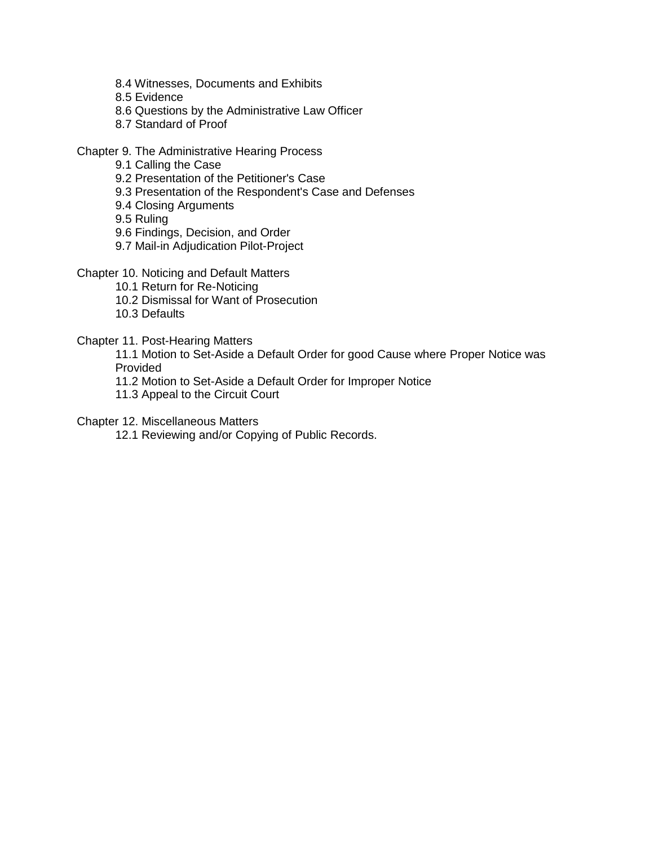- 8.4 Witnesses, Documents and Exhibits
- 8.5 Evidence
- 8.6 Questions by the Administrative Law Officer
- 8.7 Standard of Proof

Chapter 9. The Administrative Hearing Process

- 9.1 Calling the Case
- 9.2 Presentation of the Petitioner's Case
- 9.3 Presentation of the Respondent's Case and Defenses
- 9.4 Closing Arguments
- 9.5 Ruling
- 9.6 Findings, Decision, and Order
- 9.7 Mail-in Adjudication Pilot-Project
- Chapter 10. Noticing and Default Matters
	- 10.1 Return for Re-Noticing
	- 10.2 Dismissal for Want of Prosecution
	- 10.3 Defaults

Chapter 11. Post-Hearing Matters

11.1 Motion to Set-Aside a Default Order for good Cause where Proper Notice was Provided

- 11.2 Motion to Set-Aside a Default Order for Improper Notice
- 11.3 Appeal to the Circuit Court

Chapter 12. Miscellaneous Matters

12.1 Reviewing and/or Copying of Public Records.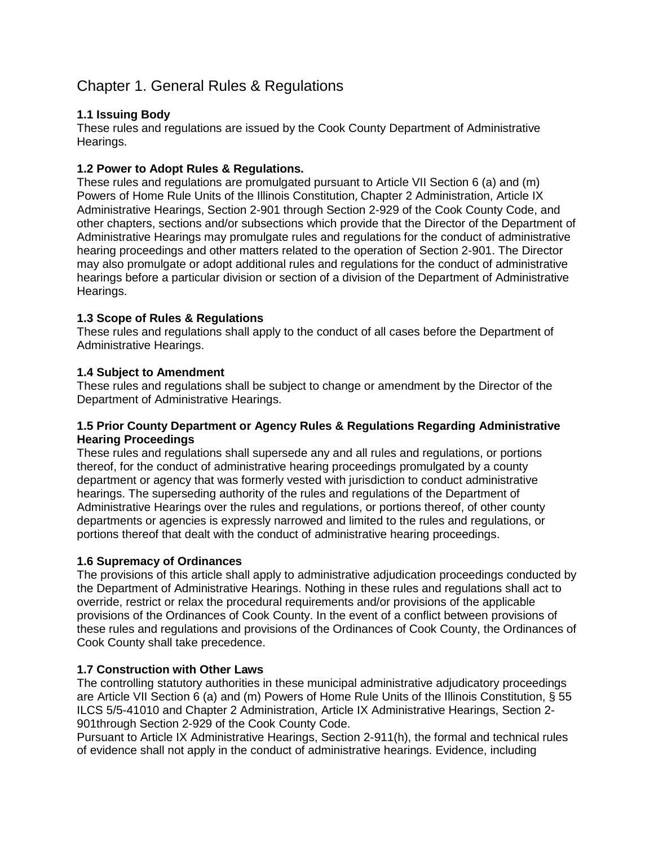# Chapter 1. General Rules & Regulations

### **1.1 Issuing Body**

These rules and regulations are issued by the Cook County Department of Administrative Hearings.

### **1.2 Power to Adopt Rules & Regulations.**

These rules and regulations are promulgated pursuant to Article VII Section 6 (a) and (m) Powers of Home Rule Units of the Illinois Constitution, Chapter 2 Administration, Article IX Administrative Hearings, Section 2-901 through Section 2-929 of the Cook County Code, and other chapters, sections and/or subsections which provide that the Director of the Department of Administrative Hearings may promulgate rules and regulations for the conduct of administrative hearing proceedings and other matters related to the operation of Section 2-901. The Director may also promulgate or adopt additional rules and regulations for the conduct of administrative hearings before a particular division or section of a division of the Department of Administrative Hearings.

### **1.3 Scope of Rules & Regulations**

These rules and regulations shall apply to the conduct of all cases before the Department of Administrative Hearings.

### **1.4 Subject to Amendment**

These rules and regulations shall be subject to change or amendment by the Director of the Department of Administrative Hearings.

### **1.5 Prior County Department or Agency Rules & Regulations Regarding Administrative Hearing Proceedings**

These rules and regulations shall supersede any and all rules and regulations, or portions thereof, for the conduct of administrative hearing proceedings promulgated by a county department or agency that was formerly vested with jurisdiction to conduct administrative hearings. The superseding authority of the rules and regulations of the Department of Administrative Hearings over the rules and regulations, or portions thereof, of other county departments or agencies is expressly narrowed and limited to the rules and regulations, or portions thereof that dealt with the conduct of administrative hearing proceedings.

### **1.6 Supremacy of Ordinances**

The provisions of this article shall apply to administrative adjudication proceedings conducted by the Department of Administrative Hearings. Nothing in these rules and regulations shall act to override, restrict or relax the procedural requirements and/or provisions of the applicable provisions of the Ordinances of Cook County. In the event of a conflict between provisions of these rules and regulations and provisions of the Ordinances of Cook County, the Ordinances of Cook County shall take precedence.

### **1.7 Construction with Other Laws**

The controlling statutory authorities in these municipal administrative adjudicatory proceedings are Article VII Section 6 (a) and (m) Powers of Home Rule Units of the Illinois Constitution, § 55 ILCS 5/5-41010 and Chapter 2 Administration, Article IX Administrative Hearings, Section 2- 901through Section 2-929 of the Cook County Code.

Pursuant to Article IX Administrative Hearings, Section 2-911(h), the formal and technical rules of evidence shall not apply in the conduct of administrative hearings. Evidence, including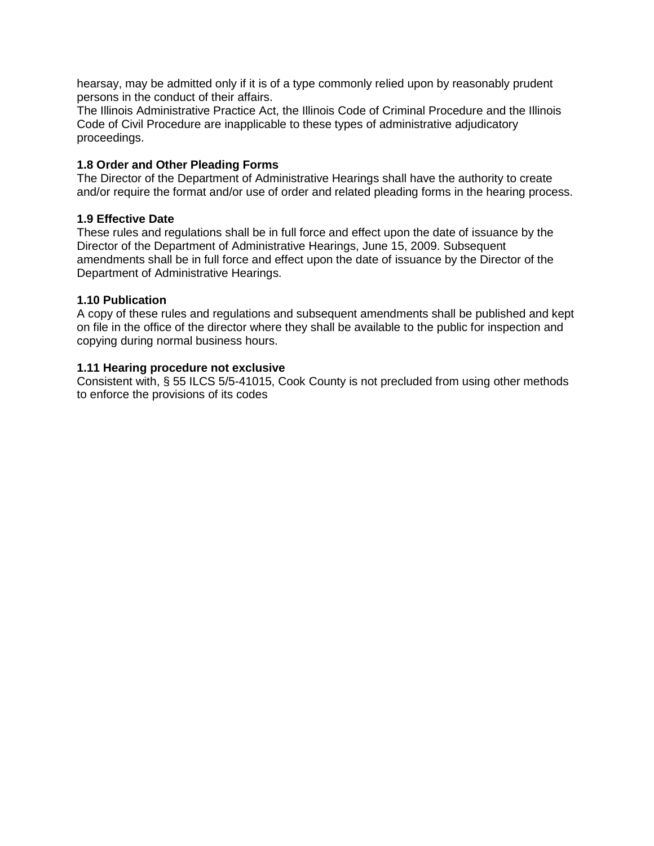hearsay, may be admitted only if it is of a type commonly relied upon by reasonably prudent persons in the conduct of their affairs.

The Illinois Administrative Practice Act, the Illinois Code of Criminal Procedure and the Illinois Code of Civil Procedure are inapplicable to these types of administrative adjudicatory proceedings.

### **1.8 Order and Other Pleading Forms**

The Director of the Department of Administrative Hearings shall have the authority to create and/or require the format and/or use of order and related pleading forms in the hearing process.

### **1.9 Effective Date**

These rules and regulations shall be in full force and effect upon the date of issuance by the Director of the Department of Administrative Hearings, June 15, 2009. Subsequent amendments shall be in full force and effect upon the date of issuance by the Director of the Department of Administrative Hearings.

#### **1.10 Publication**

A copy of these rules and regulations and subsequent amendments shall be published and kept on file in the office of the director where they shall be available to the public for inspection and copying during normal business hours.

### **1.11 Hearing procedure not exclusive**

Consistent with, § 55 ILCS 5/5-41015, Cook County is not precluded from using other methods to enforce the provisions of its codes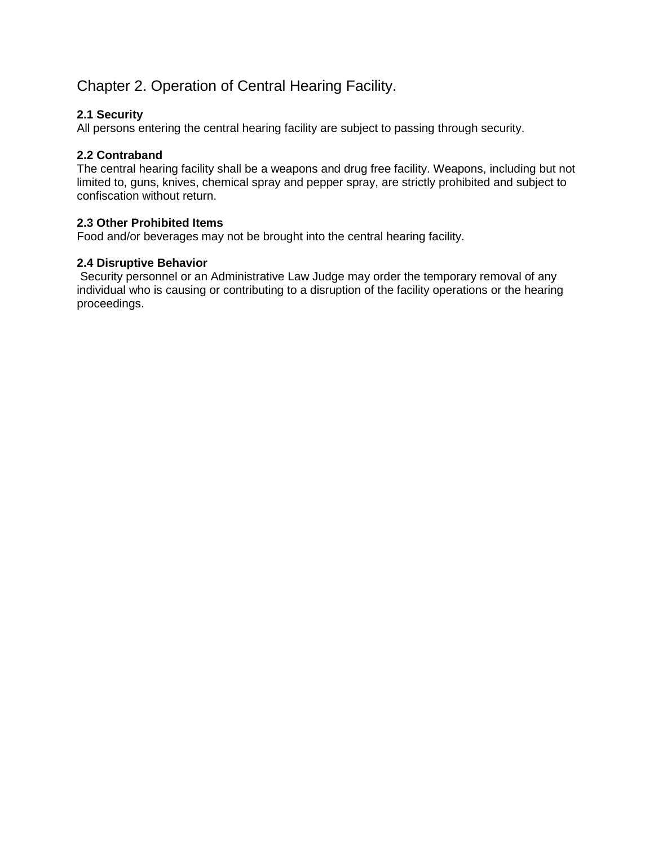# Chapter 2. Operation of Central Hearing Facility.

### **2.1 Security**

All persons entering the central hearing facility are subject to passing through security.

### **2.2 Contraband**

The central hearing facility shall be a weapons and drug free facility. Weapons, including but not limited to, guns, knives, chemical spray and pepper spray, are strictly prohibited and subject to confiscation without return.

### **2.3 Other Prohibited Items**

Food and/or beverages may not be brought into the central hearing facility.

### **2.4 Disruptive Behavior**

Security personnel or an Administrative Law Judge may order the temporary removal of any individual who is causing or contributing to a disruption of the facility operations or the hearing proceedings.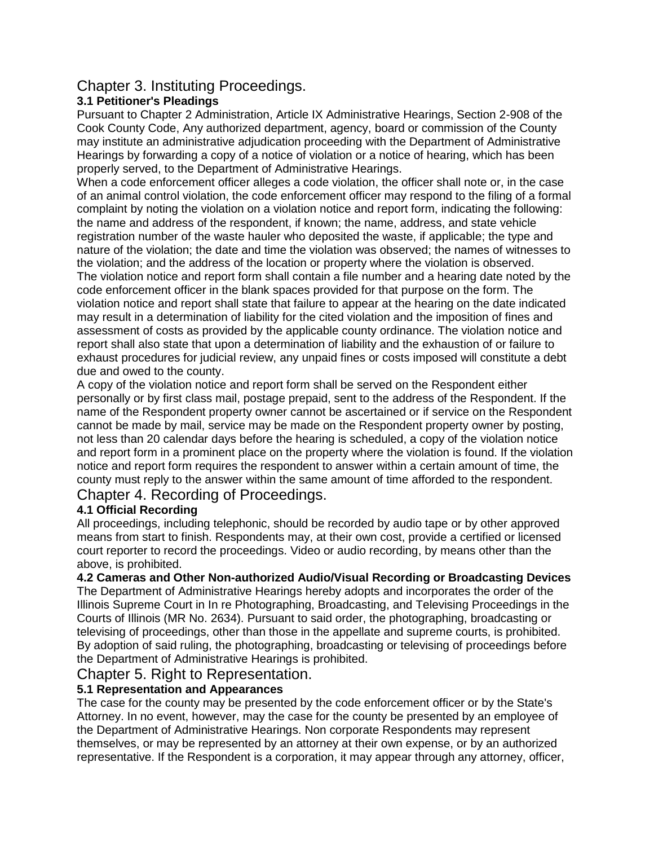# Chapter 3. Instituting Proceedings.

# **3.1 Petitioner's Pleadings**

Pursuant to Chapter 2 Administration, Article IX Administrative Hearings, Section 2-908 of the Cook County Code, Any authorized department, agency, board or commission of the County may institute an administrative adjudication proceeding with the Department of Administrative Hearings by forwarding a copy of a notice of violation or a notice of hearing, which has been properly served, to the Department of Administrative Hearings.

When a code enforcement officer alleges a code violation, the officer shall note or, in the case of an animal control violation, the code enforcement officer may respond to the filing of a formal complaint by noting the violation on a violation notice and report form, indicating the following: the name and address of the respondent, if known; the name, address, and state vehicle registration number of the waste hauler who deposited the waste, if applicable; the type and nature of the violation; the date and time the violation was observed; the names of witnesses to the violation; and the address of the location or property where the violation is observed. The violation notice and report form shall contain a file number and a hearing date noted by the code enforcement officer in the blank spaces provided for that purpose on the form. The violation notice and report shall state that failure to appear at the hearing on the date indicated may result in a determination of liability for the cited violation and the imposition of fines and assessment of costs as provided by the applicable county ordinance. The violation notice and report shall also state that upon a determination of liability and the exhaustion of or failure to exhaust procedures for judicial review, any unpaid fines or costs imposed will constitute a debt

due and owed to the county.

A copy of the violation notice and report form shall be served on the Respondent either personally or by first class mail, postage prepaid, sent to the address of the Respondent. If the name of the Respondent property owner cannot be ascertained or if service on the Respondent cannot be made by mail, service may be made on the Respondent property owner by posting, not less than 20 calendar days before the hearing is scheduled, a copy of the violation notice and report form in a prominent place on the property where the violation is found. If the violation notice and report form requires the respondent to answer within a certain amount of time, the county must reply to the answer within the same amount of time afforded to the respondent. Chapter 4. Recording of Proceedings.

# **4.1 Official Recording**

All proceedings, including telephonic, should be recorded by audio tape or by other approved means from start to finish. Respondents may, at their own cost, provide a certified or licensed court reporter to record the proceedings. Video or audio recording, by means other than the above, is prohibited.

**4.2 Cameras and Other Non-authorized Audio/Visual Recording or Broadcasting Devices**

The Department of Administrative Hearings hereby adopts and incorporates the order of the Illinois Supreme Court in In re Photographing, Broadcasting, and Televising Proceedings in the Courts of Illinois (MR No. 2634). Pursuant to said order, the photographing, broadcasting or televising of proceedings, other than those in the appellate and supreme courts, is prohibited. By adoption of said ruling, the photographing, broadcasting or televising of proceedings before the Department of Administrative Hearings is prohibited.

# Chapter 5. Right to Representation.

# **5.1 Representation and Appearances**

The case for the county may be presented by the code enforcement officer or by the State's Attorney. In no event, however, may the case for the county be presented by an employee of the Department of Administrative Hearings. Non corporate Respondents may represent themselves, or may be represented by an attorney at their own expense, or by an authorized representative. If the Respondent is a corporation, it may appear through any attorney, officer,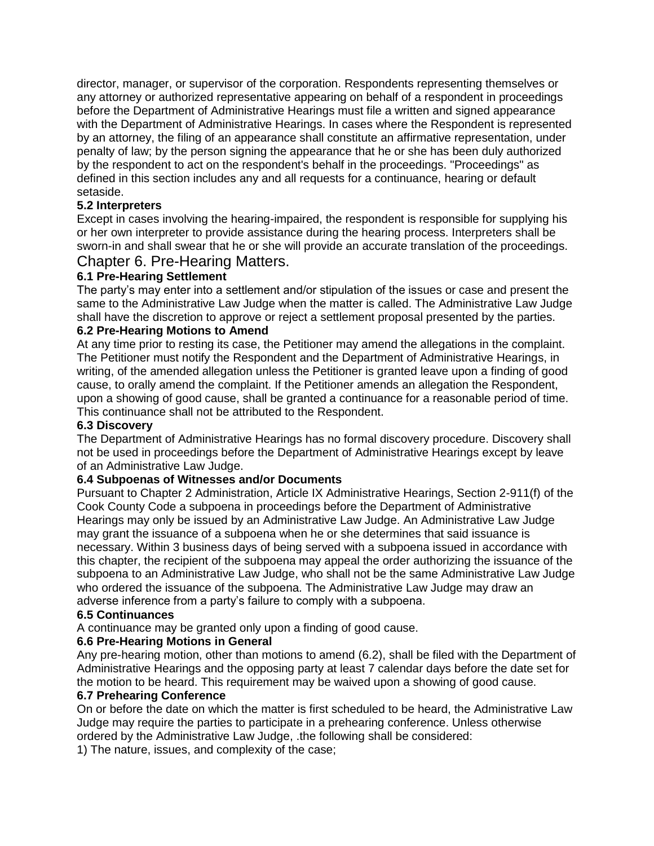director, manager, or supervisor of the corporation. Respondents representing themselves or any attorney or authorized representative appearing on behalf of a respondent in proceedings before the Department of Administrative Hearings must file a written and signed appearance with the Department of Administrative Hearings. In cases where the Respondent is represented by an attorney, the filing of an appearance shall constitute an affirmative representation, under penalty of law; by the person signing the appearance that he or she has been duly authorized by the respondent to act on the respondent's behalf in the proceedings. "Proceedings" as defined in this section includes any and all requests for a continuance, hearing or default setaside.

### **5.2 Interpreters**

Except in cases involving the hearing-impaired, the respondent is responsible for supplying his or her own interpreter to provide assistance during the hearing process. Interpreters shall be sworn-in and shall swear that he or she will provide an accurate translation of the proceedings.

### Chapter 6. Pre-Hearing Matters.

### **6.1 Pre-Hearing Settlement**

The party's may enter into a settlement and/or stipulation of the issues or case and present the same to the Administrative Law Judge when the matter is called. The Administrative Law Judge shall have the discretion to approve or reject a settlement proposal presented by the parties.

#### **6.2 Pre-Hearing Motions to Amend**

At any time prior to resting its case, the Petitioner may amend the allegations in the complaint. The Petitioner must notify the Respondent and the Department of Administrative Hearings, in writing, of the amended allegation unless the Petitioner is granted leave upon a finding of good cause, to orally amend the complaint. If the Petitioner amends an allegation the Respondent, upon a showing of good cause, shall be granted a continuance for a reasonable period of time. This continuance shall not be attributed to the Respondent.

#### **6.3 Discovery**

The Department of Administrative Hearings has no formal discovery procedure. Discovery shall not be used in proceedings before the Department of Administrative Hearings except by leave of an Administrative Law Judge.

#### **6.4 Subpoenas of Witnesses and/or Documents**

Pursuant to Chapter 2 Administration, Article IX Administrative Hearings, Section 2-911(f) of the Cook County Code a subpoena in proceedings before the Department of Administrative Hearings may only be issued by an Administrative Law Judge. An Administrative Law Judge may grant the issuance of a subpoena when he or she determines that said issuance is necessary. Within 3 business days of being served with a subpoena issued in accordance with this chapter, the recipient of the subpoena may appeal the order authorizing the issuance of the subpoena to an Administrative Law Judge, who shall not be the same Administrative Law Judge who ordered the issuance of the subpoena. The Administrative Law Judge may draw an adverse inference from a party's failure to comply with a subpoena.

#### **6.5 Continuances**

A continuance may be granted only upon a finding of good cause.

#### **6.6 Pre-Hearing Motions in General**

Any pre-hearing motion, other than motions to amend (6.2), shall be filed with the Department of Administrative Hearings and the opposing party at least 7 calendar days before the date set for the motion to be heard. This requirement may be waived upon a showing of good cause.

#### **6.7 Prehearing Conference**

On or before the date on which the matter is first scheduled to be heard, the Administrative Law Judge may require the parties to participate in a prehearing conference. Unless otherwise ordered by the Administrative Law Judge, .the following shall be considered:

1) The nature, issues, and complexity of the case;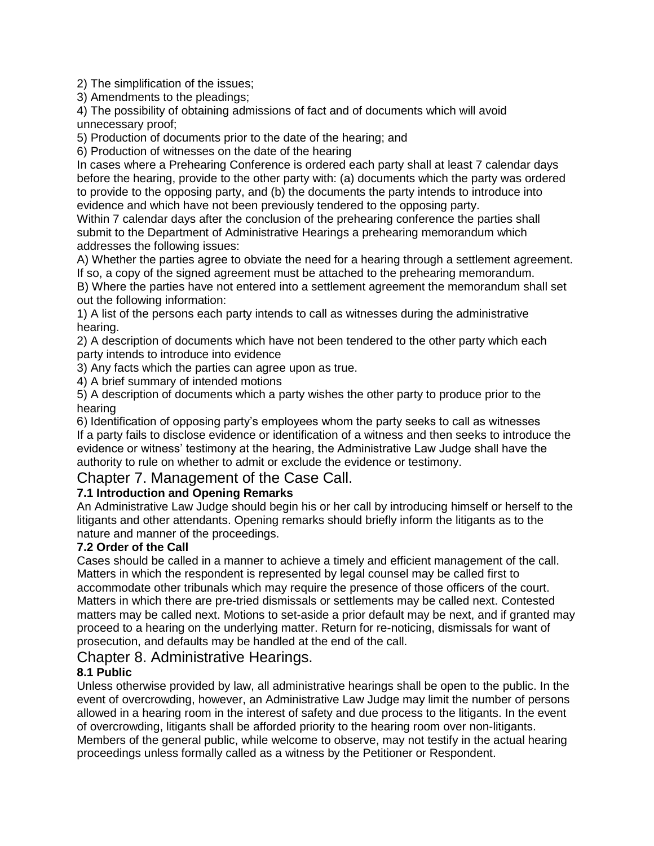2) The simplification of the issues;

3) Amendments to the pleadings;

4) The possibility of obtaining admissions of fact and of documents which will avoid unnecessary proof;

5) Production of documents prior to the date of the hearing; and

6) Production of witnesses on the date of the hearing

In cases where a Prehearing Conference is ordered each party shall at least 7 calendar days before the hearing, provide to the other party with: (a) documents which the party was ordered to provide to the opposing party, and (b) the documents the party intends to introduce into evidence and which have not been previously tendered to the opposing party.

Within 7 calendar days after the conclusion of the prehearing conference the parties shall submit to the Department of Administrative Hearings a prehearing memorandum which addresses the following issues:

A) Whether the parties agree to obviate the need for a hearing through a settlement agreement. If so, a copy of the signed agreement must be attached to the prehearing memorandum.

B) Where the parties have not entered into a settlement agreement the memorandum shall set out the following information:

1) A list of the persons each party intends to call as witnesses during the administrative hearing.

2) A description of documents which have not been tendered to the other party which each party intends to introduce into evidence

3) Any facts which the parties can agree upon as true.

4) A brief summary of intended motions

5) A description of documents which a party wishes the other party to produce prior to the hearing

6) Identification of opposing party's employees whom the party seeks to call as witnesses If a party fails to disclose evidence or identification of a witness and then seeks to introduce the evidence or witness' testimony at the hearing, the Administrative Law Judge shall have the authority to rule on whether to admit or exclude the evidence or testimony.

# Chapter 7. Management of the Case Call.

# **7.1 Introduction and Opening Remarks**

An Administrative Law Judge should begin his or her call by introducing himself or herself to the litigants and other attendants. Opening remarks should briefly inform the litigants as to the nature and manner of the proceedings.

### **7.2 Order of the Call**

Cases should be called in a manner to achieve a timely and efficient management of the call. Matters in which the respondent is represented by legal counsel may be called first to accommodate other tribunals which may require the presence of those officers of the court. Matters in which there are pre-tried dismissals or settlements may be called next. Contested matters may be called next. Motions to set-aside a prior default may be next, and if granted may proceed to a hearing on the underlying matter. Return for re-noticing, dismissals for want of prosecution, and defaults may be handled at the end of the call.

# Chapter 8. Administrative Hearings.

# **8.1 Public**

Unless otherwise provided by law, all administrative hearings shall be open to the public. In the event of overcrowding, however, an Administrative Law Judge may limit the number of persons allowed in a hearing room in the interest of safety and due process to the litigants. In the event of overcrowding, litigants shall be afforded priority to the hearing room over non-litigants. Members of the general public, while welcome to observe, may not testify in the actual hearing proceedings unless formally called as a witness by the Petitioner or Respondent.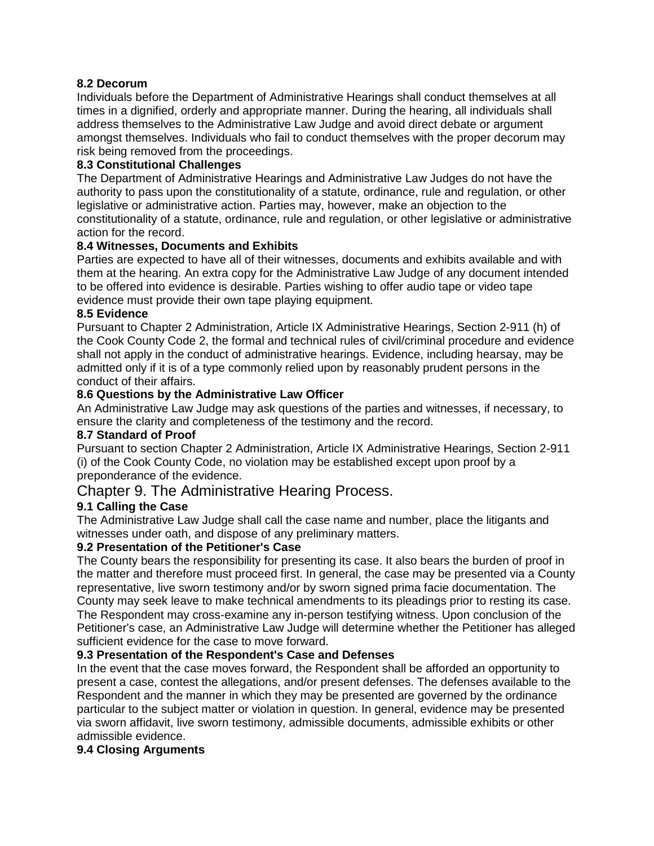### **8.2 Decorum**

Individuals before the Department of Administrative Hearings shall conduct themselves at all times in a dignified, orderly and appropriate manner. During the hearing, all individuals shall address themselves to the Administrative Law Judge and avoid direct debate or argument amongst themselves. Individuals who fail to conduct themselves with the proper decorum may risk being removed from the proceedings.

### **8.3 Constitutional Challenges**

The Department of Administrative Hearings and Administrative Law Judges do not have the authority to pass upon the constitutionality of a statute, ordinance, rule and regulation, or other legislative or administrative action. Parties may, however, make an objection to the constitutionality of a statute, ordinance, rule and regulation, or other legislative or administrative action for the record.

#### **8.4 Witnesses, Documents and Exhibits**

Parties are expected to have all of their witnesses, documents and exhibits available and with them at the hearing. An extra copy for the Administrative Law Judge of any document intended to be offered into evidence is desirable. Parties wishing to offer audio tape or video tape evidence must provide their own tape playing equipment.

#### **8.5 Evidence**

Pursuant to Chapter 2 Administration, Article IX Administrative Hearings, Section 2-911 (h) of the Cook County Code 2, the formal and technical rules of civil/criminal procedure and evidence shall not apply in the conduct of administrative hearings. Evidence, including hearsay, may be admitted only if it is of a type commonly relied upon by reasonably prudent persons in the conduct of their affairs.

### **8.6 Questions by the Administrative Law Officer**

An Administrative Law Judge may ask questions of the parties and witnesses, if necessary, to ensure the clarity and completeness of the testimony and the record.

### **8.7 Standard of Proof**

Pursuant to section Chapter 2 Administration, Article IX Administrative Hearings, Section 2-911 (i) of the Cook County Code, no violation may be established except upon proof by a preponderance of the evidence.

# Chapter 9. The Administrative Hearing Process.

### **9.1 Calling the Case**

The Administrative Law Judge shall call the case name and number, place the litigants and witnesses under oath, and dispose of any preliminary matters.

### **9.2 Presentation of the Petitioner's Case**

The County bears the responsibility for presenting its case. It also bears the burden of proof in the matter and therefore must proceed first. In general, the case may be presented via a County representative, live sworn testimony and/or by sworn signed prima facie documentation. The County may seek leave to make technical amendments to its pleadings prior to resting its case. The Respondent may cross-examine any in-person testifying witness. Upon conclusion of the Petitioner's case, an Administrative Law Judge will determine whether the Petitioner has alleged sufficient evidence for the case to move forward.

### **9.3 Presentation of the Respondent's Case and Defenses**

In the event that the case moves forward, the Respondent shall be afforded an opportunity to present a case, contest the allegations, and/or present defenses. The defenses available to the Respondent and the manner in which they may be presented are governed by the ordinance particular to the subject matter or violation in question. In general, evidence may be presented via sworn affidavit, live sworn testimony, admissible documents, admissible exhibits or other admissible evidence.

#### **9.4 Closing Arguments**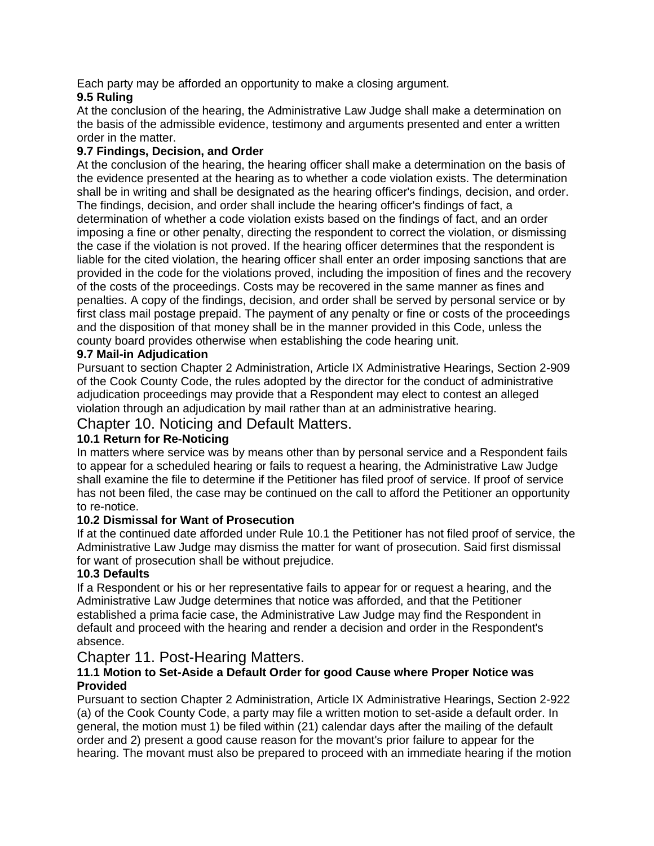Each party may be afforded an opportunity to make a closing argument.

# **9.5 Ruling**

At the conclusion of the hearing, the Administrative Law Judge shall make a determination on the basis of the admissible evidence, testimony and arguments presented and enter a written order in the matter.

### **9.7 Findings, Decision, and Order**

At the conclusion of the hearing, the hearing officer shall make a determination on the basis of the evidence presented at the hearing as to whether a code violation exists. The determination shall be in writing and shall be designated as the hearing officer's findings, decision, and order. The findings, decision, and order shall include the hearing officer's findings of fact, a determination of whether a code violation exists based on the findings of fact, and an order imposing a fine or other penalty, directing the respondent to correct the violation, or dismissing the case if the violation is not proved. If the hearing officer determines that the respondent is liable for the cited violation, the hearing officer shall enter an order imposing sanctions that are provided in the code for the violations proved, including the imposition of fines and the recovery of the costs of the proceedings. Costs may be recovered in the same manner as fines and penalties. A copy of the findings, decision, and order shall be served by personal service or by first class mail postage prepaid. The payment of any penalty or fine or costs of the proceedings and the disposition of that money shall be in the manner provided in this Code, unless the county board provides otherwise when establishing the code hearing unit.

### **9.7 Mail-in Adjudication**

Pursuant to section Chapter 2 Administration, Article IX Administrative Hearings, Section 2-909 of the Cook County Code, the rules adopted by the director for the conduct of administrative adjudication proceedings may provide that a Respondent may elect to contest an alleged violation through an adjudication by mail rather than at an administrative hearing.

Chapter 10. Noticing and Default Matters.

# **10.1 Return for Re-Noticing**

In matters where service was by means other than by personal service and a Respondent fails to appear for a scheduled hearing or fails to request a hearing, the Administrative Law Judge shall examine the file to determine if the Petitioner has filed proof of service. If proof of service has not been filed, the case may be continued on the call to afford the Petitioner an opportunity to re-notice.

### **10.2 Dismissal for Want of Prosecution**

If at the continued date afforded under Rule 10.1 the Petitioner has not filed proof of service, the Administrative Law Judge may dismiss the matter for want of prosecution. Said first dismissal for want of prosecution shall be without prejudice.

# **10.3 Defaults**

If a Respondent or his or her representative fails to appear for or request a hearing, and the Administrative Law Judge determines that notice was afforded, and that the Petitioner established a prima facie case, the Administrative Law Judge may find the Respondent in default and proceed with the hearing and render a decision and order in the Respondent's absence.

# Chapter 11. Post-Hearing Matters.

### **11.1 Motion to Set-Aside a Default Order for good Cause where Proper Notice was Provided**

Pursuant to section Chapter 2 Administration, Article IX Administrative Hearings, Section 2-922 (a) of the Cook County Code, a party may file a written motion to set-aside a default order. In general, the motion must 1) be filed within (21) calendar days after the mailing of the default order and 2) present a good cause reason for the movant's prior failure to appear for the hearing. The movant must also be prepared to proceed with an immediate hearing if the motion